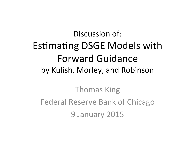#### Discussion of: Estimating DSGE Models with Forward Guidance by Kulish, Morley, and Robinson

**Thomas King** Federal Reserve Bank of Chicago 9 January 2015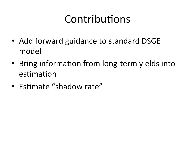## Contributions

- Add forward guidance to standard DSGE model
- Bring information from long-term yields into estimation
- Estimate "shadow rate"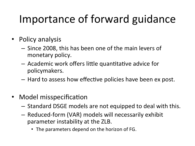## Importance of forward guidance

- Policy analysis
	- Since 2008, this has been one of the main levers of monetary policy.
	- $-$  Academic work offers little quantitative advice for policymakers.
	- $-$  Hard to assess how effective policies have been ex post.
- Model misspecification
	- $-$  Standard DSGE models are not equipped to deal with this.
	- $-$  Reduced-form (VAR) models will necessarily exhibit parameter instability at the ZLB.
		- The parameters depend on the horizon of FG.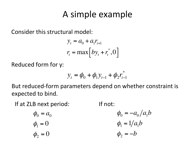#### A simple example

Consider this structural model:

$$
y_t = a_0 + a_1 r_{t+1}
$$
  

$$
r_t = \max[b y_t + r_t^*, 0]
$$

Reduced form for y:

$$
y_t = \phi_0 + \phi_1 y_{t-1} + \phi_2 r_{t-1}^*
$$

But reduced-form parameters depend on whether constraint is expected to bind.

If at ZLB next period:  $\blacksquare$  If not:

$$
\phi_0 = a_0
$$
  
\n $\phi_1 = 0$   
\n $\phi_2 = 0$   
\n $\phi_3 = -a_0/a_1b$   
\n $\phi_3 = -b$   
\n $\phi_4 = 1/a_1b$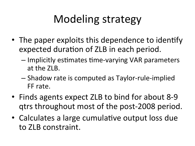## Modeling strategy

- The paper exploits this dependence to identify expected duration of ZLB in each period.
	- $-$  Implicitly estimates time-varying VAR parameters at the ZLB.
	- $-$  Shadow rate is computed as Taylor-rule-implied FF rate.
- Finds agents expect ZLB to bind for about 8-9 qtrs throughout most of the post-2008 period.
- Calculates a large cumulative output loss due to ZLB constraint.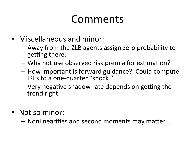### Comments(

- Miscellaneous and minor:
	- $-$  Away from the ZLB agents assign zero probability to getting there.
	- Why not use observed risk premia for estimation?
	- $-$  How important is forward guidance? Could compute IRFs to a one-quarter "shock."
	- $-$  Very negative shadow rate depends on getting the trend right.
- Not so minor:

 $-$  Nonlinearities and second moments may matter...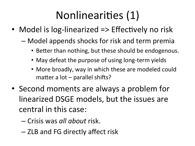## Nonlinearities (1)

- Model is log-linearized  $\Rightarrow$  Effectively no risk
	- Model appends shocks for risk and term premia
		- Better than nothing, but these should be endogenous.
		- May defeat the purpose of using long-term yields
		- More broadly, way in which these are modeled could matter a lot  $-$  parallel shifts?
- Second moments are always a problem for linearized DSGE models, but the issues are central in this case:
	- Crisis(was*!all!about!*risk.(
	- ZLB and FG directly affect risk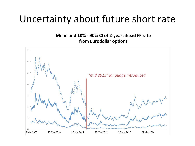#### Uncertainty about future short rate

**Mean and 10% - 90% CI of 2-year ahead FF rate from Eurodollar options** 

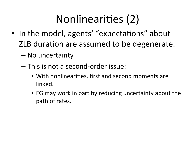# Nonlinearities (2)

- In the model, agents' "expectations" about ZLB duration are assumed to be degenerate.
	- $-$  No uncertainty
	- $-$  This is not a second-order issue:
		- With nonlinearities, first and second moments are linked.
		- FG may work in part by reducing uncertainty about the path of rates.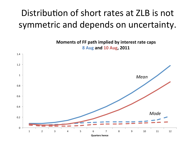#### Distribution of short rates at ZLB is not symmetric and depends on uncertainty.

**Moments of FF path implied by interest rate caps 8%Aug%and%10%Aug,%2011%**

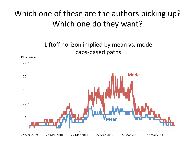#### Which one of these are the authors picking up? Which one do they want?



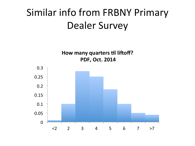### Similar info from FRBNY Primary Dealer Survey

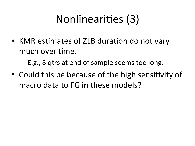# Nonlinearities (3)

• KMR estimates of ZLB duration do not vary much over time.

 $-$  E.g., 8 gtrs at end of sample seems too long.

• Could this be because of the high sensitivity of macro data to FG in these models?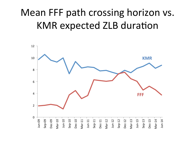### Mean FFF path crossing horizon vs. KMR expected ZLB duration